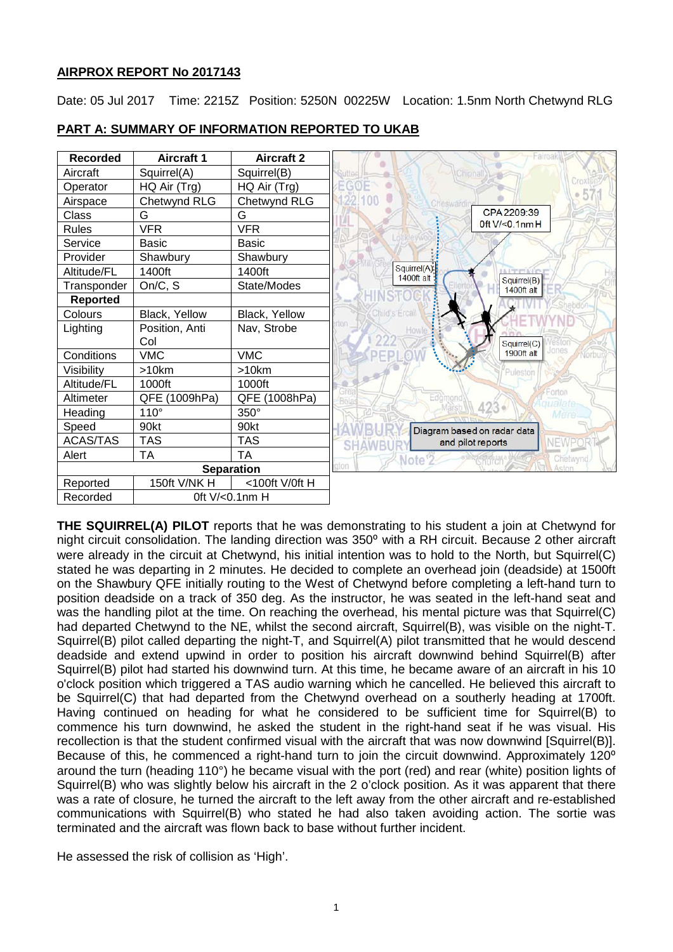# **AIRPROX REPORT No 2017143**

Date: 05 Jul 2017 Time: 2215Z Position: 5250N 00225W Location: 1.5nm North Chetwynd RLG



# **PART A: SUMMARY OF INFORMATION REPORTED TO UKAB**

**THE SQUIRREL(A) PILOT** reports that he was demonstrating to his student a join at Chetwynd for night circuit consolidation. The landing direction was 350° with a RH circuit. Because 2 other aircraft were already in the circuit at Chetwynd, his initial intention was to hold to the North, but Squirrel(C) stated he was departing in 2 minutes. He decided to complete an overhead join (deadside) at 1500ft on the Shawbury QFE initially routing to the West of Chetwynd before completing a left-hand turn to position deadside on a track of 350 deg. As the instructor, he was seated in the left-hand seat and was the handling pilot at the time. On reaching the overhead, his mental picture was that Squirrel(C) had departed Chetwynd to the NE, whilst the second aircraft, Squirrel(B), was visible on the night-T. Squirrel(B) pilot called departing the night-T, and Squirrel(A) pilot transmitted that he would descend deadside and extend upwind in order to position his aircraft downwind behind Squirrel(B) after Squirrel(B) pilot had started his downwind turn. At this time, he became aware of an aircraft in his 10 o'clock position which triggered a TAS audio warning which he cancelled. He believed this aircraft to be Squirrel(C) that had departed from the Chetwynd overhead on a southerly heading at 1700ft. Having continued on heading for what he considered to be sufficient time for Squirrel(B) to commence his turn downwind, he asked the student in the right-hand seat if he was visual. His recollection is that the student confirmed visual with the aircraft that was now downwind [Squirrel(B)]. Because of this, he commenced a right-hand turn to join the circuit downwind. Approximately 120<sup>o</sup> around the turn (heading 110°) he became visual with the port (red) and rear (white) position lights of Squirrel(B) who was slightly below his aircraft in the 2 o'clock position. As it was apparent that there was a rate of closure, he turned the aircraft to the left away from the other aircraft and re-established communications with Squirrel(B) who stated he had also taken avoiding action. The sortie was terminated and the aircraft was flown back to base without further incident.

He assessed the risk of collision as 'High'.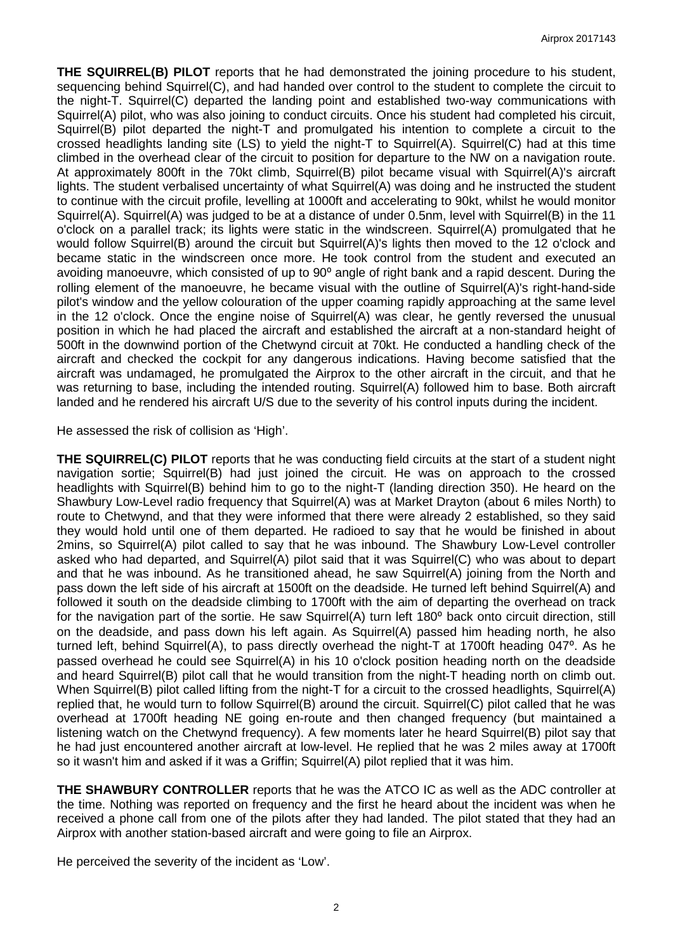**THE SQUIRREL(B) PILOT** reports that he had demonstrated the joining procedure to his student, sequencing behind Squirrel(C), and had handed over control to the student to complete the circuit to the night-T. Squirrel(C) departed the landing point and established two-way communications with Squirrel(A) pilot, who was also joining to conduct circuits. Once his student had completed his circuit, Squirrel(B) pilot departed the night-T and promulgated his intention to complete a circuit to the crossed headlights landing site (LS) to yield the night-T to Squirrel(A). Squirrel(C) had at this time climbed in the overhead clear of the circuit to position for departure to the NW on a navigation route. At approximately 800ft in the 70kt climb, Squirrel(B) pilot became visual with Squirrel(A)'s aircraft lights. The student verbalised uncertainty of what Squirrel(A) was doing and he instructed the student to continue with the circuit profile, levelling at 1000ft and accelerating to 90kt, whilst he would monitor Squirrel(A). Squirrel(A) was judged to be at a distance of under 0.5nm, level with Squirrel(B) in the 11 o'clock on a parallel track; its lights were static in the windscreen. Squirrel(A) promulgated that he would follow Squirrel(B) around the circuit but Squirrel(A)'s lights then moved to the 12 o'clock and became static in the windscreen once more. He took control from the student and executed an avoiding manoeuvre, which consisted of up to 90<sup>o</sup> angle of right bank and a rapid descent. During the rolling element of the manoeuvre, he became visual with the outline of Squirrel(A)'s right-hand-side pilot's window and the yellow colouration of the upper coaming rapidly approaching at the same level in the 12 o'clock. Once the engine noise of Squirrel(A) was clear, he gently reversed the unusual position in which he had placed the aircraft and established the aircraft at a non-standard height of 500ft in the downwind portion of the Chetwynd circuit at 70kt. He conducted a handling check of the aircraft and checked the cockpit for any dangerous indications. Having become satisfied that the aircraft was undamaged, he promulgated the Airprox to the other aircraft in the circuit, and that he was returning to base, including the intended routing. Squirrel(A) followed him to base. Both aircraft landed and he rendered his aircraft U/S due to the severity of his control inputs during the incident.

He assessed the risk of collision as 'High'.

**THE SQUIRREL(C) PILOT** reports that he was conducting field circuits at the start of a student night navigation sortie; Squirrel(B) had just joined the circuit. He was on approach to the crossed headlights with Squirrel(B) behind him to go to the night-T (landing direction 350). He heard on the Shawbury Low-Level radio frequency that Squirrel(A) was at Market Drayton (about 6 miles North) to route to Chetwynd, and that they were informed that there were already 2 established, so they said they would hold until one of them departed. He radioed to say that he would be finished in about 2mins, so Squirrel(A) pilot called to say that he was inbound. The Shawbury Low-Level controller asked who had departed, and Squirrel(A) pilot said that it was Squirrel(C) who was about to depart and that he was inbound. As he transitioned ahead, he saw Squirrel(A) joining from the North and pass down the left side of his aircraft at 1500ft on the deadside. He turned left behind Squirrel(A) and followed it south on the deadside climbing to 1700ft with the aim of departing the overhead on track for the navigation part of the sortie. He saw Squirrel(A) turn left 180<sup>°</sup> back onto circuit direction, still on the deadside, and pass down his left again. As Squirrel(A) passed him heading north, he also turned left, behind Squirrel(A), to pass directly overhead the night-T at 1700ft heading 047<sup>o</sup>. As he passed overhead he could see Squirrel(A) in his 10 o'clock position heading north on the deadside and heard Squirrel(B) pilot call that he would transition from the night-T heading north on climb out. When Squirrel(B) pilot called lifting from the night-T for a circuit to the crossed headlights, Squirrel(A) replied that, he would turn to follow Squirrel(B) around the circuit. Squirrel(C) pilot called that he was overhead at 1700ft heading NE going en-route and then changed frequency (but maintained a listening watch on the Chetwynd frequency). A few moments later he heard Squirrel(B) pilot say that he had just encountered another aircraft at low-level. He replied that he was 2 miles away at 1700ft so it wasn't him and asked if it was a Griffin: Squirrel(A) pilot replied that it was him.

**THE SHAWBURY CONTROLLER** reports that he was the ATCO IC as well as the ADC controller at the time. Nothing was reported on frequency and the first he heard about the incident was when he received a phone call from one of the pilots after they had landed. The pilot stated that they had an Airprox with another station-based aircraft and were going to file an Airprox.

He perceived the severity of the incident as 'Low'.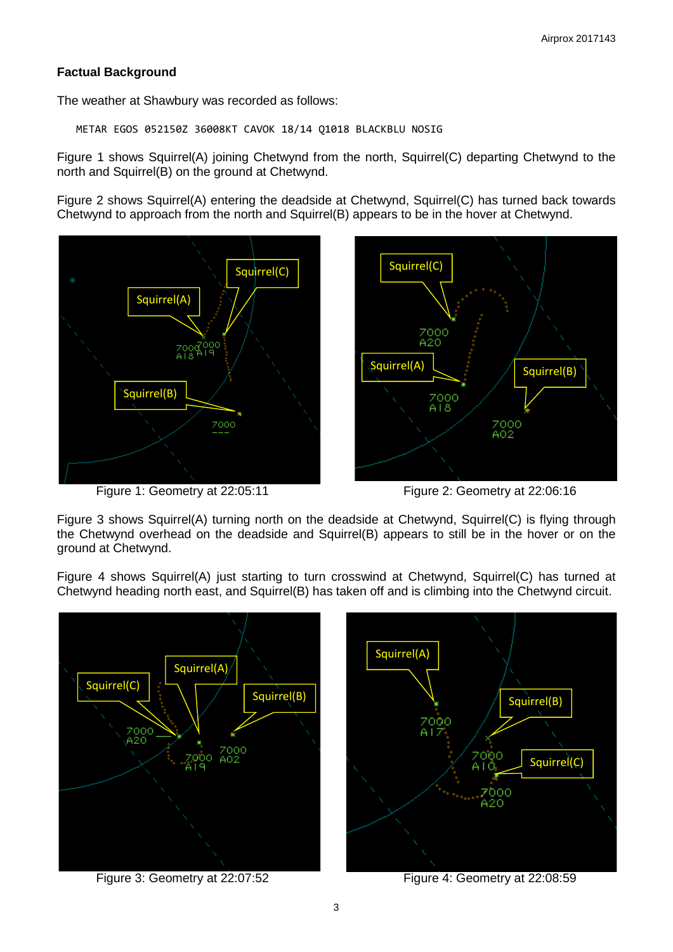# **Factual Background**

The weather at Shawbury was recorded as follows:

METAR EGOS 052150Z 36008KT CAVOK 18/14 Q1018 BLACKBLU NOSIG

Figure 1 shows Squirrel(A) joining Chetwynd from the north, Squirrel(C) departing Chetwynd to the north and Squirrel(B) on the ground at Chetwynd.

Figure 2 shows Squirrel(A) entering the deadside at Chetwynd, Squirrel(C) has turned back towards Chetwynd to approach from the north and Squirrel(B) appears to be in the hover at Chetwynd.



Figure 1: Geometry at 22:05:11 Figure 2: Geometry at 22:06:16

Figure 3 shows Squirrel(A) turning north on the deadside at Chetwynd, Squirrel(C) is flying through the Chetwynd overhead on the deadside and Squirrel(B) appears to still be in the hover or on the ground at Chetwynd.

Figure 4 shows Squirrel(A) just starting to turn crosswind at Chetwynd, Squirrel(C) has turned at Chetwynd heading north east, and Squirrel(B) has taken off and is climbing into the Chetwynd circuit.



Figure 3: Geometry at 22:07:52 Figure 4: Geometry at 22:08:59

Squirrel(C)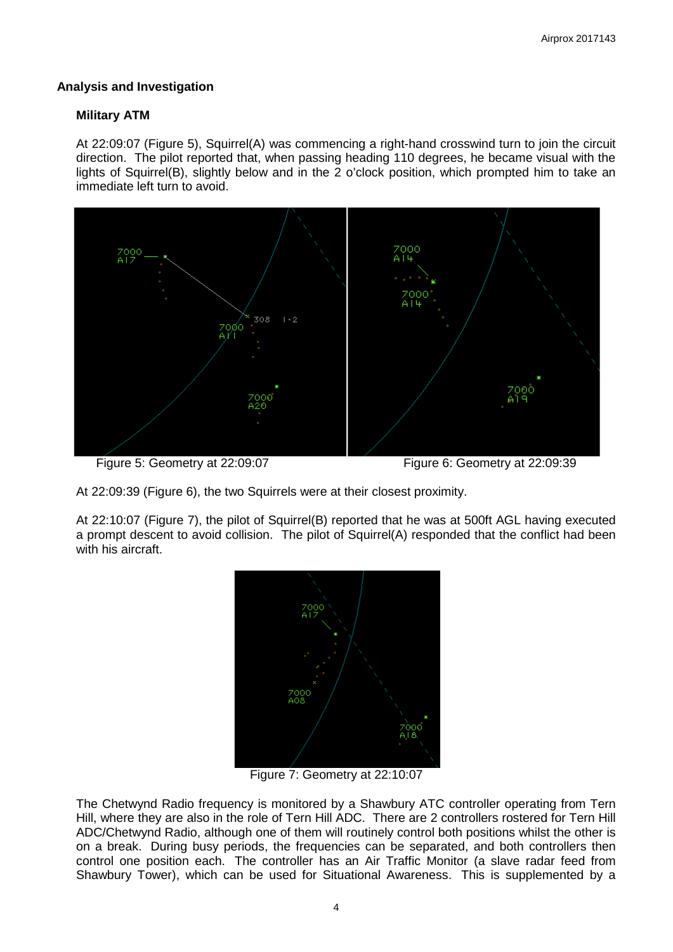## **Analysis and Investigation**

### **Military ATM**

At 22:09:07 (Figure 5), Squirrel(A) was commencing a right-hand crosswind turn to join the circuit direction. The pilot reported that, when passing heading 110 degrees, he became visual with the lights of Squirrel(B), slightly below and in the 2 o'clock position, which prompted him to take an immediate left turn to avoid.



Figure 5: Geometry at 22:09:07 Figure 6: Geometry at 22:09:39

At 22:09:39 (Figure 6), the two Squirrels were at their closest proximity.

At 22:10:07 (Figure 7), the pilot of Squirrel(B) reported that he was at 500ft AGL having executed a prompt descent to avoid collision. The pilot of Squirrel(A) responded that the conflict had been with his aircraft.



Figure 7: Geometry at 22:10:07

The Chetwynd Radio frequency is monitored by a Shawbury ATC controller operating from Tern Hill, where they are also in the role of Tern Hill ADC. There are 2 controllers rostered for Tern Hill ADC/Chetwynd Radio, although one of them will routinely control both positions whilst the other is on a break. During busy periods, the frequencies can be separated, and both controllers then control one position each. The controller has an Air Traffic Monitor (a slave radar feed from Shawbury Tower), which can be used for Situational Awareness. This is supplemented by a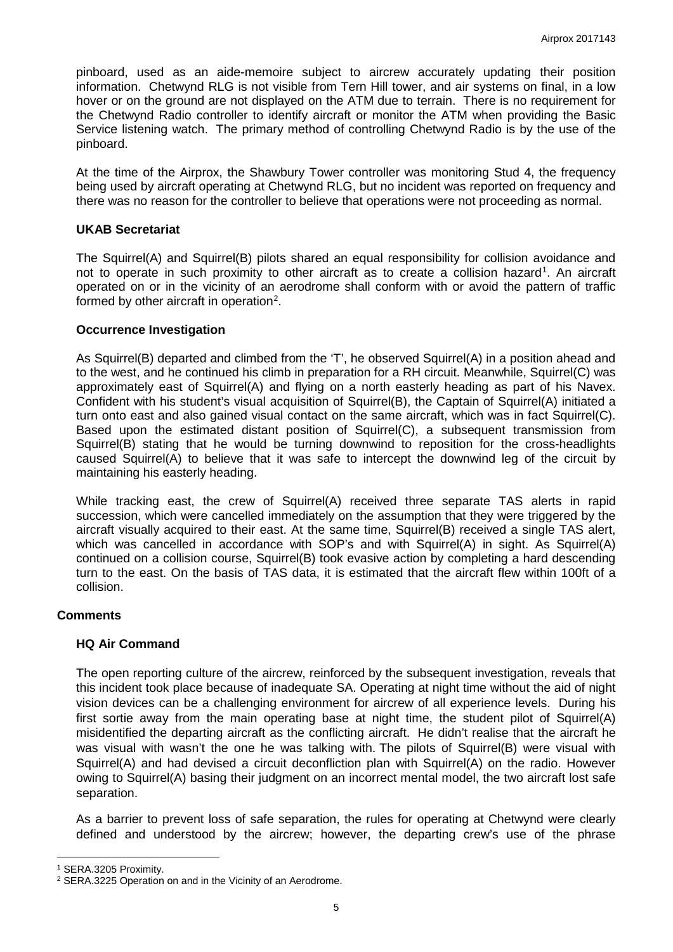pinboard, used as an aide-memoire subject to aircrew accurately updating their position information. Chetwynd RLG is not visible from Tern Hill tower, and air systems on final, in a low hover or on the ground are not displayed on the ATM due to terrain. There is no requirement for the Chetwynd Radio controller to identify aircraft or monitor the ATM when providing the Basic Service listening watch. The primary method of controlling Chetwynd Radio is by the use of the pinboard.

At the time of the Airprox, the Shawbury Tower controller was monitoring Stud 4, the frequency being used by aircraft operating at Chetwynd RLG, but no incident was reported on frequency and there was no reason for the controller to believe that operations were not proceeding as normal.

## **UKAB Secretariat**

The Squirrel(A) and Squirrel(B) pilots shared an equal responsibility for collision avoidance and not to operate in such proximity to other aircraft as to create a collision hazard<sup>[1](#page-4-0)</sup>. An aircraft operated on or in the vicinity of an aerodrome shall conform with or avoid the pattern of traffic formed by other aircraft in operation<sup>[2](#page-4-1)</sup>.

## **Occurrence Investigation**

As Squirrel(B) departed and climbed from the 'T', he observed Squirrel(A) in a position ahead and to the west, and he continued his climb in preparation for a RH circuit. Meanwhile, Squirrel(C) was approximately east of Squirrel(A) and flying on a north easterly heading as part of his Navex. Confident with his student's visual acquisition of Squirrel(B), the Captain of Squirrel(A) initiated a turn onto east and also gained visual contact on the same aircraft, which was in fact Squirrel(C). Based upon the estimated distant position of Squirrel(C), a subsequent transmission from Squirrel(B) stating that he would be turning downwind to reposition for the cross-headlights caused Squirrel(A) to believe that it was safe to intercept the downwind leg of the circuit by maintaining his easterly heading.

While tracking east, the crew of Squirrel(A) received three separate TAS alerts in rapid succession, which were cancelled immediately on the assumption that they were triggered by the aircraft visually acquired to their east. At the same time, Squirrel(B) received a single TAS alert, which was cancelled in accordance with SOP's and with Squirrel(A) in sight. As Squirrel(A) continued on a collision course, Squirrel(B) took evasive action by completing a hard descending turn to the east. On the basis of TAS data, it is estimated that the aircraft flew within 100ft of a collision.

#### **Comments**

#### **HQ Air Command**

The open reporting culture of the aircrew, reinforced by the subsequent investigation, reveals that this incident took place because of inadequate SA. Operating at night time without the aid of night vision devices can be a challenging environment for aircrew of all experience levels. During his first sortie away from the main operating base at night time, the student pilot of Squirrel(A) misidentified the departing aircraft as the conflicting aircraft. He didn't realise that the aircraft he was visual with wasn't the one he was talking with. The pilots of Squirrel(B) were visual with Squirrel(A) and had devised a circuit deconfliction plan with Squirrel(A) on the radio. However owing to Squirrel(A) basing their judgment on an incorrect mental model, the two aircraft lost safe separation.

As a barrier to prevent loss of safe separation, the rules for operating at Chetwynd were clearly defined and understood by the aircrew; however, the departing crew's use of the phrase

l

<span id="page-4-0"></span><sup>1</sup> SERA.3205 Proximity.

<span id="page-4-1"></span><sup>2</sup> SERA.3225 Operation on and in the Vicinity of an Aerodrome.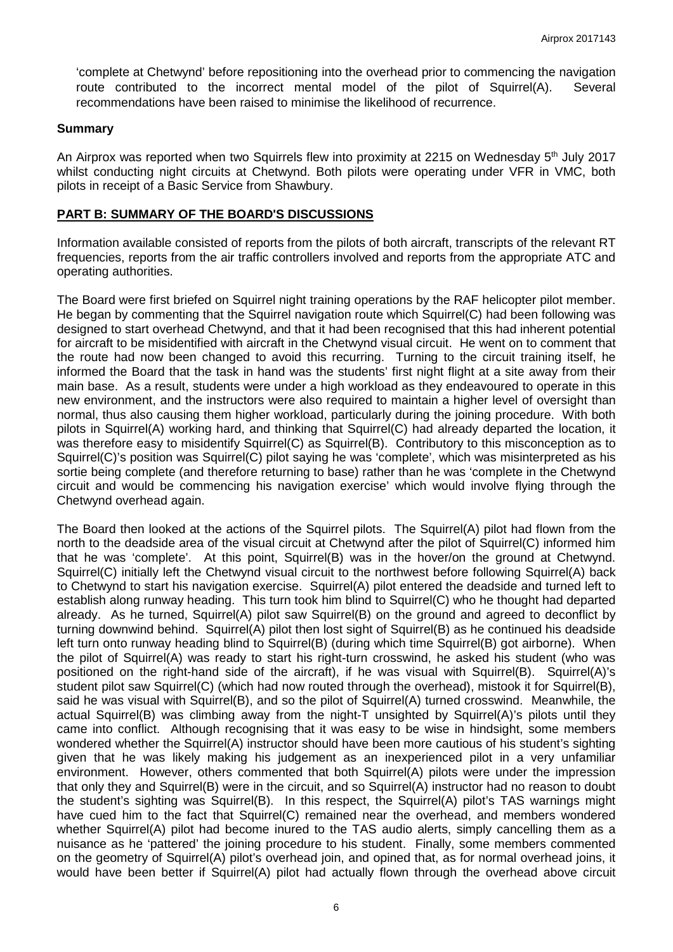'complete at Chetwynd' before repositioning into the overhead prior to commencing the navigation route contributed to the incorrect mental model of the pilot of Squirrel(A). Several recommendations have been raised to minimise the likelihood of recurrence.

#### **Summary**

An Airprox was reported when two Squirrels flew into proximity at 2215 on Wednesday 5<sup>th</sup> July 2017 whilst conducting night circuits at Chetwynd. Both pilots were operating under VFR in VMC, both pilots in receipt of a Basic Service from Shawbury.

#### **PART B: SUMMARY OF THE BOARD'S DISCUSSIONS**

Information available consisted of reports from the pilots of both aircraft, transcripts of the relevant RT frequencies, reports from the air traffic controllers involved and reports from the appropriate ATC and operating authorities.

The Board were first briefed on Squirrel night training operations by the RAF helicopter pilot member. He began by commenting that the Squirrel navigation route which Squirrel(C) had been following was designed to start overhead Chetwynd, and that it had been recognised that this had inherent potential for aircraft to be misidentified with aircraft in the Chetwynd visual circuit. He went on to comment that the route had now been changed to avoid this recurring. Turning to the circuit training itself, he informed the Board that the task in hand was the students' first night flight at a site away from their main base. As a result, students were under a high workload as they endeavoured to operate in this new environment, and the instructors were also required to maintain a higher level of oversight than normal, thus also causing them higher workload, particularly during the joining procedure. With both pilots in Squirrel(A) working hard, and thinking that Squirrel(C) had already departed the location, it was therefore easy to misidentify Squirrel(C) as Squirrel(B). Contributory to this misconception as to Squirrel(C)'s position was Squirrel(C) pilot saying he was 'complete', which was misinterpreted as his sortie being complete (and therefore returning to base) rather than he was 'complete in the Chetwynd circuit and would be commencing his navigation exercise' which would involve flying through the Chetwynd overhead again.

The Board then looked at the actions of the Squirrel pilots. The Squirrel(A) pilot had flown from the north to the deadside area of the visual circuit at Chetwynd after the pilot of Squirrel(C) informed him that he was 'complete'. At this point, Squirrel(B) was in the hover/on the ground at Chetwynd. Squirrel(C) initially left the Chetwynd visual circuit to the northwest before following Squirrel(A) back to Chetwynd to start his navigation exercise. Squirrel(A) pilot entered the deadside and turned left to establish along runway heading. This turn took him blind to Squirrel(C) who he thought had departed already. As he turned, Squirrel(A) pilot saw Squirrel(B) on the ground and agreed to deconflict by turning downwind behind. Squirrel(A) pilot then lost sight of Squirrel(B) as he continued his deadside left turn onto runway heading blind to Squirrel(B) (during which time Squirrel(B) got airborne). When the pilot of Squirrel(A) was ready to start his right-turn crosswind, he asked his student (who was positioned on the right-hand side of the aircraft), if he was visual with Squirrel(B). Squirrel(A)'s student pilot saw Squirrel(C) (which had now routed through the overhead), mistook it for Squirrel(B), said he was visual with Squirrel(B), and so the pilot of Squirrel(A) turned crosswind. Meanwhile, the actual Squirrel(B) was climbing away from the night-T unsighted by Squirrel(A)'s pilots until they came into conflict. Although recognising that it was easy to be wise in hindsight, some members wondered whether the Squirrel(A) instructor should have been more cautious of his student's sighting given that he was likely making his judgement as an inexperienced pilot in a very unfamiliar environment. However, others commented that both Squirrel(A) pilots were under the impression that only they and Squirrel(B) were in the circuit, and so Squirrel(A) instructor had no reason to doubt the student's sighting was Squirrel(B). In this respect, the Squirrel(A) pilot's TAS warnings might have cued him to the fact that Squirrel(C) remained near the overhead, and members wondered whether Squirrel(A) pilot had become inured to the TAS audio alerts, simply cancelling them as a nuisance as he 'pattered' the joining procedure to his student. Finally, some members commented on the geometry of Squirrel(A) pilot's overhead join, and opined that, as for normal overhead joins, it would have been better if Squirrel(A) pilot had actually flown through the overhead above circuit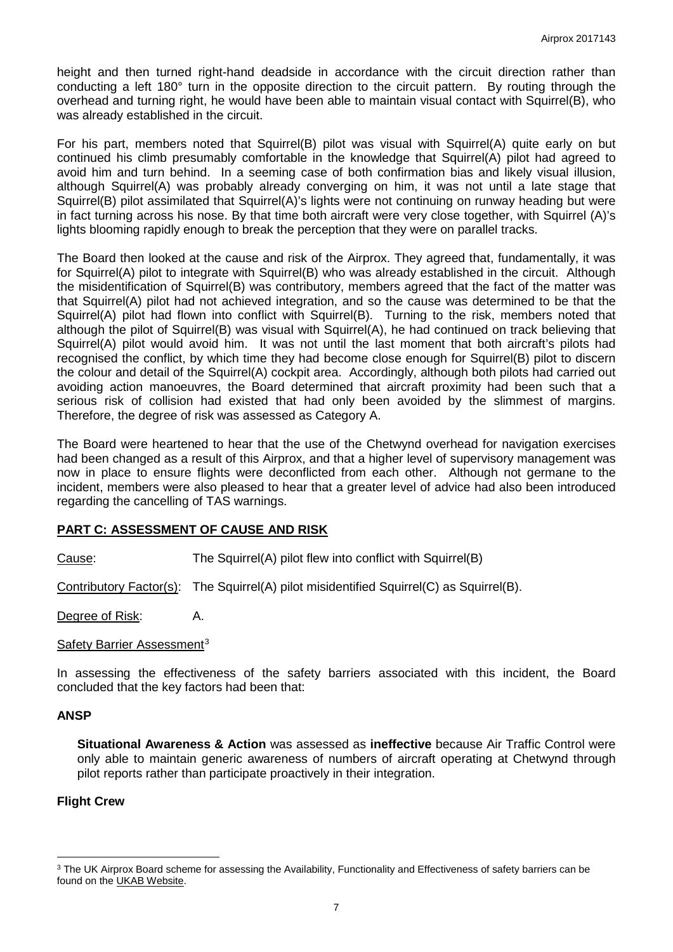height and then turned right-hand deadside in accordance with the circuit direction rather than conducting a left 180° turn in the opposite direction to the circuit pattern. By routing through the overhead and turning right, he would have been able to maintain visual contact with Squirrel(B), who was already established in the circuit.

For his part, members noted that Squirrel(B) pilot was visual with Squirrel(A) quite early on but continued his climb presumably comfortable in the knowledge that Squirrel(A) pilot had agreed to avoid him and turn behind. In a seeming case of both confirmation bias and likely visual illusion, although Squirrel(A) was probably already converging on him, it was not until a late stage that Squirrel(B) pilot assimilated that Squirrel(A)'s lights were not continuing on runway heading but were in fact turning across his nose. By that time both aircraft were very close together, with Squirrel (A)'s lights blooming rapidly enough to break the perception that they were on parallel tracks.

The Board then looked at the cause and risk of the Airprox. They agreed that, fundamentally, it was for Squirrel(A) pilot to integrate with Squirrel(B) who was already established in the circuit. Although the misidentification of Squirrel(B) was contributory, members agreed that the fact of the matter was that Squirrel(A) pilot had not achieved integration, and so the cause was determined to be that the Squirrel(A) pilot had flown into conflict with Squirrel(B). Turning to the risk, members noted that although the pilot of Squirrel(B) was visual with Squirrel(A), he had continued on track believing that Squirrel(A) pilot would avoid him. It was not until the last moment that both aircraft's pilots had recognised the conflict, by which time they had become close enough for Squirrel(B) pilot to discern the colour and detail of the Squirrel(A) cockpit area. Accordingly, although both pilots had carried out avoiding action manoeuvres, the Board determined that aircraft proximity had been such that a serious risk of collision had existed that had only been avoided by the slimmest of margins. Therefore, the degree of risk was assessed as Category A.

The Board were heartened to hear that the use of the Chetwynd overhead for navigation exercises had been changed as a result of this Airprox, and that a higher level of supervisory management was now in place to ensure flights were deconflicted from each other. Although not germane to the incident, members were also pleased to hear that a greater level of advice had also been introduced regarding the cancelling of TAS warnings.

## **PART C: ASSESSMENT OF CAUSE AND RISK**

Cause: The Squirrel(A) pilot flew into conflict with Squirrel(B)

Contributory Factor(s): The Squirrel(A) pilot misidentified Squirrel(C) as Squirrel(B).

Degree of Risk: A.

#### Safety Barrier Assessment<sup>[3](#page-6-0)</sup>

In assessing the effectiveness of the safety barriers associated with this incident, the Board concluded that the key factors had been that:

## **ANSP**

**Situational Awareness & Action** was assessed as **ineffective** because Air Traffic Control were only able to maintain generic awareness of numbers of aircraft operating at Chetwynd through pilot reports rather than participate proactively in their integration.

## **Flight Crew**

l

<span id="page-6-0"></span><sup>&</sup>lt;sup>3</sup> The UK Airprox Board scheme for assessing the Availability, Functionality and Effectiveness of safety barriers can be found on the [UKAB Website.](http://www.airproxboard.org.uk/Learn-more/Airprox-Barrier-Assessment/)